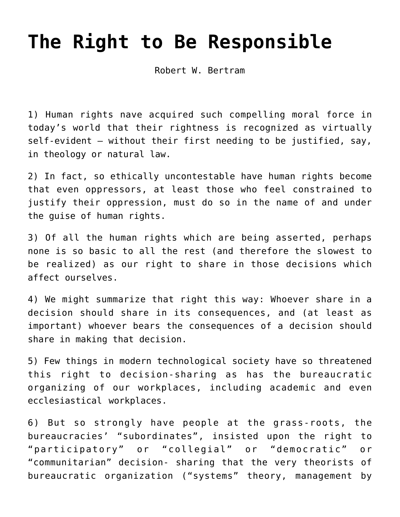## **[The Right to Be Responsible](https://crossings.org/right-to-be-responsible/)**

Robert W. Bertram

1) Human rights nave acquired such compelling moral force in today's world that their rightness is recognized as virtually self-evident – without their first needing to be justified, say, in theology or natural law.

2) In fact, so ethically uncontestable have human rights become that even oppressors, at least those who feel constrained to justify their oppression, must do so in the name of and under the guise of human rights.

3) Of all the human rights which are being asserted, perhaps none is so basic to all the rest (and therefore the slowest to be realized) as our right to share in those decisions which affect ourselves.

4) We might summarize that right this way: Whoever share in a decision should share in its consequences, and (at least as important) whoever bears the consequences of a decision should share in making that decision.

5) Few things in modern technological society have so threatened this right to decision-sharing as has the bureaucratic organizing of our workplaces, including academic and even ecclesiastical workplaces.

6) But so strongly have people at the grass-roots, the bureaucracies' "subordinates", insisted upon the right to "participatory" or "collegial" or "democratic" or "communitarian" decision- sharing that the very theorists of bureaucratic organization ("systems" theory, management by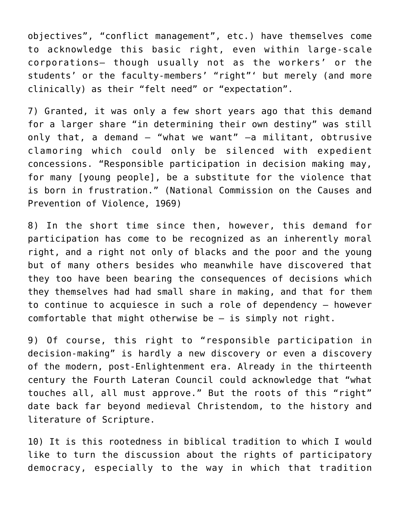objectives", "conflict management", etc.) have themselves come to acknowledge this basic right, even within large-scale corporations— though usually not as the workers' or the students' or the faculty-members' "right"' but merely (and more clinically) as their "felt need" or "expectation".

7) Granted, it was only a few short years ago that this demand for a larger share "in determining their own destiny" was still only that, a demand — "what we want" —a militant, obtrusive clamoring which could only be silenced with expedient concessions. "Responsible participation in decision making may, for many [young people], be a substitute for the violence that is born in frustration." (National Commission on the Causes and Prevention of Violence, 1969)

8) In the short time since then, however, this demand for participation has come to be recognized as an inherently moral right, and a right not only of blacks and the poor and the young but of many others besides who meanwhile have discovered that they too have been bearing the consequences of decisions which they themselves had had small share in making, and that for them to continue to acquiesce in such a role of dependency — however comfortable that might otherwise be — is simply not right.

9) Of course, this right to "responsible participation in decision-making" is hardly a new discovery or even a discovery of the modern, post-Enlightenment era. Already in the thirteenth century the Fourth Lateran Council could acknowledge that "what touches all, all must approve." But the roots of this "right" date back far beyond medieval Christendom, to the history and literature of Scripture.

10) It is this rootedness in biblical tradition to which I would like to turn the discussion about the rights of participatory democracy, especially to the way in which that tradition